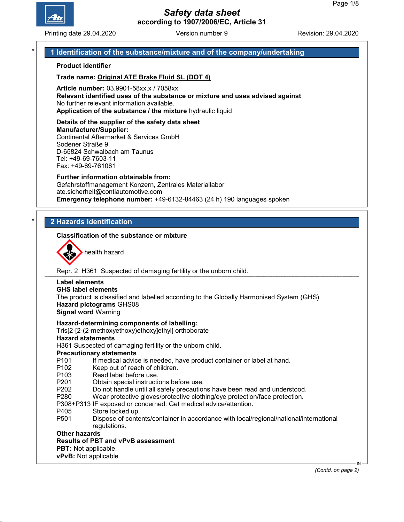

Printing date 29.04.2020 **Revision: 29.04.2020** Version number 9 Revision: 29.04.2020

# 1 Identification of the substance/mixture and of the company/undertaking

#### Product identifier

Trade name: Original ATE Brake Fluid SL (DOT 4)

Article number: 03.9901-58xx.x / 7058xx Relevant identified uses of the substance or mixture and uses advised against No further relevant information available. Application of the substance / the mixture hydraulic liquid

#### Details of the supplier of the safety data sheet Manufacturer/Supplier: Continental Aftermarket & Services GmbH Sodener Straße 9 D-65824 Schwalbach am Taunus

Tel: +49-69-7603-11 Fax: +49-69-761061

#### Further information obtainable from: Gefahrstoffmanagement Konzern, Zentrales Materiallabor ate.sicherheit@contiautomotive.com Emergency telephone number: +49-6132-84463 (24 h) 190 languages spoken

# **2 Hazards identification**

#### Classification of the substance or mixture



health hazard

Repr. 2 H361 Suspected of damaging fertility or the unborn child.

# Label elements

GHS label elements

The product is classified and labelled according to the Globally Harmonised System (GHS). Hazard pictograms GHS08

Signal word Warning

#### Hazard-determining components of labelling:

Tris[2-[2-(2-methoxyethoxy)ethoxy]ethyl] orthoborate

#### Hazard statements

H361 Suspected of damaging fertility or the unborn child.

#### Precautionary statements

- P101 If medical advice is needed, have product container or label at hand.<br>P102 Keep out of reach of children.
- Keep out of reach of children.
- P103 Read label before use.
- P201 Obtain special instructions before use.
- P202 Do not handle until all safety precautions have been read and understood.
- P280 Wear protective gloves/protective clothing/eye protection/face protection.
- P308+P313 IF exposed or concerned: Get medical advice/attention.
- P405 Store locked up.
- P501 Dispose of contents/container in accordance with local/regional/national/international regulations.

#### Other hazards

#### Results of PBT and vPvB assessment

PBT: Not applicable.

vPvB: Not applicable.

(Contd. on page 2)

IN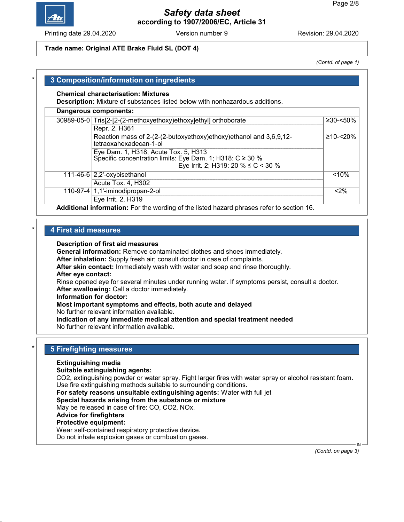

Printing date 29.04.2020 **Revision: 29.04.2020** Version number 9 Revision: 29.04.2020

#### Trade name: Original ATE Brake Fluid SL (DOT 4)

(Contd. of page 1)

# 3 Composition/information on ingredients

#### Chemical characterisation: Mixtures

Description: Mixture of substances listed below with nonhazardous additions.

| 30989-05-0 Tris[2-[2-(2-methoxyethoxy)ethoxy]ethyl] orthoborate                                                                               | $≥30 - <50\%$  |
|-----------------------------------------------------------------------------------------------------------------------------------------------|----------------|
| Repr. 2, H361                                                                                                                                 |                |
| Reaction mass of 2-(2-(2-butoxyethoxy)ethoxy)ethanol and 3,6,9,12-<br>tetraoxahexadecan-1-ol                                                  | $≥10 - < 20\%$ |
| Eye Dam. 1, H318; Acute Tox. 5, H313<br>Specific concentration limits: Eye Dam. 1; H318: C ≥ 30 %<br>Eye Irrit. 2; H319: 20 % $\leq$ C < 30 % |                |
| 111-46-6 $ 2,2$ '-oxybisethanol<br>Acute Tox. 4, H302                                                                                         | < 10%          |
| 110-97-4 $ 1,1$ -iminodipropan-2-ol<br>Eye Irrit. 2, H319                                                                                     | $< 2\%$        |

#### **4 First aid measures**

#### Description of first aid measures

General information: Remove contaminated clothes and shoes immediately.

After inhalation: Supply fresh air; consult doctor in case of complaints.

After skin contact: Immediately wash with water and soap and rinse thoroughly.

### After eye contact:

Rinse opened eye for several minutes under running water. If symptoms persist, consult a doctor. After swallowing: Call a doctor immediately.

#### Information for doctor:

#### Most important symptoms and effects, both acute and delayed

No further relevant information available.

Indication of any immediate medical attention and special treatment needed

No further relevant information available.

#### **5 Firefighting measures**

#### Extinguishing media

#### Suitable extinguishing agents:

CO2, extinguishing powder or water spray. Fight larger fires with water spray or alcohol resistant foam. Use fire extinguishing methods suitable to surrounding conditions.

For safety reasons unsuitable extinguishing agents: Water with full jet

Special hazards arising from the substance or mixture

May be released in case of fire: CO, CO2, NOx.

#### Advice for firefighters

## Protective equipment:

Wear self-contained respiratory protective device.

Do not inhale explosion gases or combustion gases.

(Contd. on page 3)

IN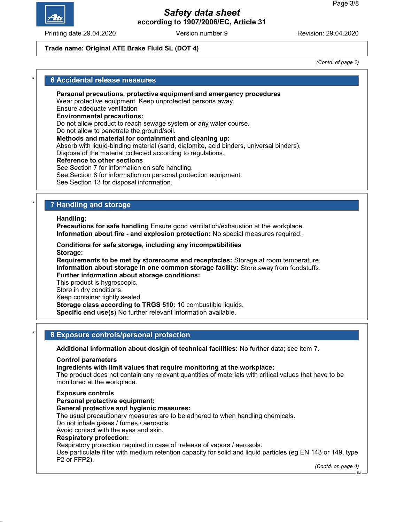

Printing date 29.04.2020 **Revision: 29.04.2020** Version number 9 Revision: 29.04.2020

#### Trade name: Original ATE Brake Fluid SL (DOT 4)

(Contd. of page 2)

#### **6 Accidental release measures**

Personal precautions, protective equipment and emergency procedures

Wear protective equipment. Keep unprotected persons away.

#### Ensure adequate ventilation Environmental precautions:

Do not allow product to reach sewage system or any water course.

Do not allow to penetrate the ground/soil.

#### Methods and material for containment and cleaning up:

Absorb with liquid-binding material (sand, diatomite, acid binders, universal binders).

Dispose of the material collected according to regulations.

#### Reference to other sections

See Section 7 for information on safe handling.

See Section 8 for information on personal protection equipment.

See Section 13 for disposal information.

# **7 Handling and storage**

Handling:

Precautions for safe handling Ensure good ventilation/exhaustion at the workplace. Information about fire - and explosion protection: No special measures required.

Conditions for safe storage, including any incompatibilities Storage:

Requirements to be met by storerooms and receptacles: Storage at room temperature. Information about storage in one common storage facility: Store away from foodstuffs. Further information about storage conditions:

This product is hygroscopic.

Store in dry conditions.

Keep container tightly sealed.

Storage class according to TRGS 510: 10 combustible liquids. Specific end use(s) No further relevant information available.

#### 8 Exposure controls/personal protection

Additional information about design of technical facilities: No further data; see item 7.

#### Control parameters

Ingredients with limit values that require monitoring at the workplace:

The product does not contain any relevant quantities of materials with critical values that have to be monitored at the workplace.

#### Exposure controls

Personal protective equipment: General protective and hygienic measures: The usual precautionary measures are to be adhered to when handling chemicals. Do not inhale gases / fumes / aerosols. Avoid contact with the eyes and skin. Respiratory protection: Respiratory protection required in case of release of vapors / aerosols. Use particulate filter with medium retention capacity for solid and liquid particles (eg EN 143 or 149, type P2 or FFP2). (Contd. on page 4)

IN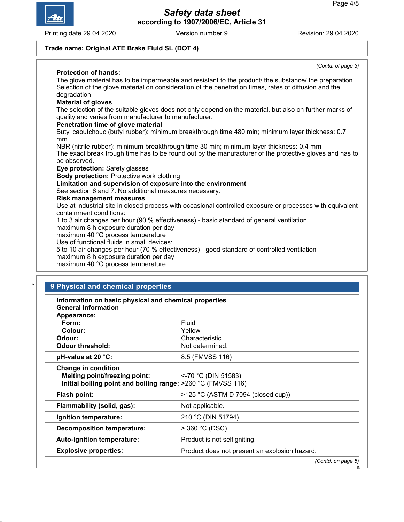

Printing date 29.04.2020 **Revision: 29.04.2020** Version number 9 Revision: 29.04.2020

(Contd. of page 3)

# Trade name: Original ATE Brake Fluid SL (DOT 4)

# Protection of hands:

The glove material has to be impermeable and resistant to the product/ the substance/ the preparation. Selection of the glove material on consideration of the penetration times, rates of diffusion and the degradation Material of gloves The selection of the suitable gloves does not only depend on the material, but also on further marks of quality and varies from manufacturer to manufacturer. Penetration time of glove material Butyl caoutchouc (butyl rubber): minimum breakthrough time 480 min; minimum layer thickness: 0.7 mm NBR (nitrile rubber): minimum breakthrough time 30 min; minimum layer thickness: 0.4 mm The exact break trough time has to be found out by the manufacturer of the protective gloves and has to be observed. Eye protection: Safety glasses Body protection: Protective work clothing Limitation and supervision of exposure into the environment See section 6 and 7. No additional measures necessary. Risk management measures Use at industrial site in closed process with occasional controlled exposure or processes with equivalent containment conditions: 1 to 3 air changes per hour (90 % effectiveness) - basic standard of general ventilation maximum 8 h exposure duration per day maximum 40 °C process temperature Use of functional fluids in small devices: 5 to 10 air changes per hour (70 % effectiveness) - good standard of controlled ventilation maximum 8 h exposure duration per day

maximum 40 °C process temperature

| Information on basic physical and chemical properties<br><b>General Information</b> |                                               |
|-------------------------------------------------------------------------------------|-----------------------------------------------|
| Appearance:                                                                         |                                               |
| Form:                                                                               | Fluid                                         |
| Colour:                                                                             | Yellow                                        |
| Odour:                                                                              | Characteristic                                |
| <b>Odour threshold:</b>                                                             | Not determined.                               |
| pH-value at 20 °C:                                                                  | 8.5 (FMVSS 116)                               |
| <b>Change in condition</b>                                                          |                                               |
| Melting point/freezing point:                                                       | $<$ -70 °C (DIN 51583)                        |
| Initial boiling point and boiling range: >260 °C (FMVSS 116)                        |                                               |
| Flash point:                                                                        | >125 °C (ASTM D 7094 (closed cup))            |
| Flammability (solid, gas):                                                          | Not applicable.                               |
| Ignition temperature:                                                               | 210 °C (DIN 51794)                            |
| <b>Decomposition temperature:</b>                                                   | $>$ 360 °C (DSC)                              |
| Auto-ignition temperature:                                                          | Product is not selfigniting.                  |
| <b>Explosive properties:</b>                                                        | Product does not present an explosion hazard. |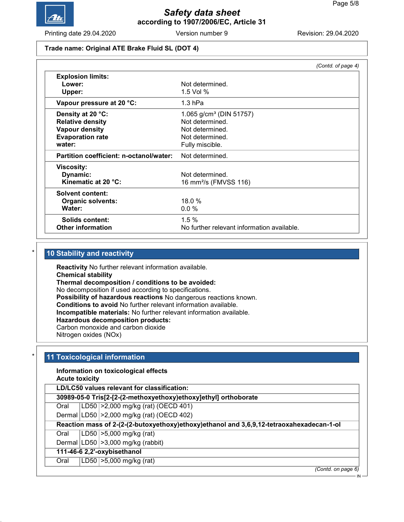

Printing date 29.04.2020 **Revision: 29.04.2020** Version number 9 Revision: 29.04.2020

#### Trade name: Original ATE Brake Fluid SL (DOT 4)

|                                         | (Contd. of page 4)                         |
|-----------------------------------------|--------------------------------------------|
| <b>Explosion limits:</b>                |                                            |
| Lower:                                  | Not determined.                            |
| Upper:                                  | $1.5$ Vol $%$                              |
| Vapour pressure at 20 °C:               | $1.3$ hPa                                  |
| Density at 20 °C:                       | 1.065 $g/cm3$ (DIN 51757)                  |
| <b>Relative density</b>                 | Not determined.                            |
| <b>Vapour density</b>                   | Not determined.                            |
| <b>Evaporation rate</b>                 | Not determined.                            |
| water:                                  | Fully miscible.                            |
| Partition coefficient: n-octanol/water: | Not determined.                            |
| <b>Viscosity:</b>                       |                                            |
| Dynamic:                                | Not determined.                            |
| Kinematic at 20 °C:                     | 16 mm <sup>2</sup> /s (FMVSS 116)          |
| <b>Solvent content:</b>                 |                                            |
| <b>Organic solvents:</b>                | 18.0%                                      |
| Water:                                  | $0.0\%$                                    |
| Solids content:                         | 1.5%                                       |
| <b>Other information</b>                | No further relevant information available. |

## 10 Stability and reactivity

Reactivity No further relevant information available. Chemical stability Thermal decomposition / conditions to be avoided: No decomposition if used according to specifications. Possibility of hazardous reactions No dangerous reactions known. Conditions to avoid No further relevant information available. Incompatible materials: No further relevant information available. Hazardous decomposition products: Carbon monoxide and carbon dioxide Nitrogen oxides (NOx)

#### 11 Toxicological information

# Information on toxicological effects

Acute toxicity

LD/LC50 values relevant for classification:

30989-05-0 Tris[2-[2-(2-methoxyethoxy)ethoxy]ethyl] orthoborate

Oral LD50 >2,000 mg/kg (rat) (OECD 401)

Dermal LD50 >2,000 mg/kg (rat) (OECD 402)

# Reaction mass of 2-(2-(2-butoxyethoxy)ethoxy)ethanol and 3,6,9,12-tetraoxahexadecan-1-ol

Oral LD50 >5,000 mg/kg (rat)

Dermal  $|LD50| > 3,000$  mg/kg (rabbit)

# 111-46-6 2,2'-oxybisethanol

Oral LD50 >5,000 mg/kg (rat)

(Contd. on page 6)

IN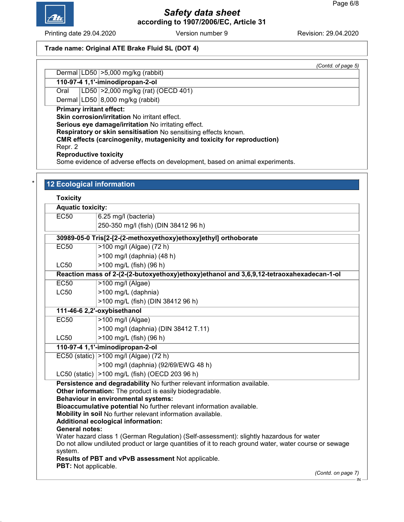

Printing date 29.04.2020 **Revision: 29.04.2020** Version number 9 Revision: 29.04.2020

# Trade name: Original ATE Brake Fluid SL (DOT 4)

(Contd. of page 5)

#### Dermal LD50 > 5,000 mg/kg (rabbit) 110-97-4 1,1'-iminodipropan-2-ol

Oral LD50 >2,000 mg/kg (rat) (OECD 401)

Dermal  $|LD50|8,000$  mg/kg (rabbit)

Primary irritant effect:

Skin corrosion/irritation No irritant effect.

Serious eye damage/irritation No irritating effect.

Respiratory or skin sensitisation No sensitising effects known.

CMR effects (carcinogenity, mutagenicity and toxicity for reproduction)

Repr. 2

Reproductive toxicity

Some evidence of adverse effects on development, based on animal experiments.

# 12 Ecological information

**Toxicity** 

| <b>Aquatic toxicity:</b>                                 |                                                                                                                                                                                                                                                                                                                                                                                                                                                                                                                                                                                                                            |
|----------------------------------------------------------|----------------------------------------------------------------------------------------------------------------------------------------------------------------------------------------------------------------------------------------------------------------------------------------------------------------------------------------------------------------------------------------------------------------------------------------------------------------------------------------------------------------------------------------------------------------------------------------------------------------------------|
| EC50                                                     | 6.25 mg/l (bacteria)                                                                                                                                                                                                                                                                                                                                                                                                                                                                                                                                                                                                       |
|                                                          | 250-350 mg/l (fish) (DIN 38412 96 h)                                                                                                                                                                                                                                                                                                                                                                                                                                                                                                                                                                                       |
|                                                          | 30989-05-0 Tris[2-[2-(2-methoxyethoxy)ethoxy]ethyl] orthoborate                                                                                                                                                                                                                                                                                                                                                                                                                                                                                                                                                            |
| <b>EC50</b>                                              | >100 mg/l (Algae) (72 h)                                                                                                                                                                                                                                                                                                                                                                                                                                                                                                                                                                                                   |
|                                                          | >100 mg/l (daphnia) (48 h)                                                                                                                                                                                                                                                                                                                                                                                                                                                                                                                                                                                                 |
| <b>LC50</b>                                              | >100 mg/L (fish) (96 h)                                                                                                                                                                                                                                                                                                                                                                                                                                                                                                                                                                                                    |
|                                                          | Reaction mass of 2-(2-(2-butoxyethoxy)ethoxy)ethanol and 3,6,9,12-tetraoxahexadecan-1-ol                                                                                                                                                                                                                                                                                                                                                                                                                                                                                                                                   |
| <b>EC50</b>                                              | $>100$ mg/l (Algae)                                                                                                                                                                                                                                                                                                                                                                                                                                                                                                                                                                                                        |
| <b>LC50</b>                                              | >100 mg/L (daphnia)                                                                                                                                                                                                                                                                                                                                                                                                                                                                                                                                                                                                        |
|                                                          | >100 mg/L (fish) (DIN 38412 96 h)                                                                                                                                                                                                                                                                                                                                                                                                                                                                                                                                                                                          |
|                                                          | 111-46-6 2,2'-oxybisethanol                                                                                                                                                                                                                                                                                                                                                                                                                                                                                                                                                                                                |
| <b>EC50</b>                                              | $\sqrt{>100}$ mg/l (Algae)                                                                                                                                                                                                                                                                                                                                                                                                                                                                                                                                                                                                 |
|                                                          | >100 mg/l (daphnia) (DIN 38412 T.11)                                                                                                                                                                                                                                                                                                                                                                                                                                                                                                                                                                                       |
| LC50                                                     | >100 mg/L (fish) (96 h)                                                                                                                                                                                                                                                                                                                                                                                                                                                                                                                                                                                                    |
|                                                          | 110-97-4 1,1'-iminodipropan-2-ol                                                                                                                                                                                                                                                                                                                                                                                                                                                                                                                                                                                           |
|                                                          | EC50 (static)   > 100 mg/l (Algae) (72 h)                                                                                                                                                                                                                                                                                                                                                                                                                                                                                                                                                                                  |
|                                                          | >100 mg/l (daphnia) (92/69/EWG 48 h)                                                                                                                                                                                                                                                                                                                                                                                                                                                                                                                                                                                       |
|                                                          | LC50 (static)   > 100 mg/L (fish) (OECD 203 96 h)                                                                                                                                                                                                                                                                                                                                                                                                                                                                                                                                                                          |
| <b>General notes:</b><br>system.<br>PBT: Not applicable. | Persistence and degradability No further relevant information available.<br>Other information: The product is easily biodegradable.<br><b>Behaviour in environmental systems:</b><br>Bioaccumulative potential No further relevant information available.<br>Mobility in soil No further relevant information available.<br>Additional ecological information:<br>Water hazard class 1 (German Regulation) (Self-assessment): slightly hazardous for water<br>Do not allow undiluted product or large quantities of it to reach ground water, water course or sewage<br>Results of PBT and vPvB assessment Not applicable. |
|                                                          | (Contd. on page 7)<br>۰IN                                                                                                                                                                                                                                                                                                                                                                                                                                                                                                                                                                                                  |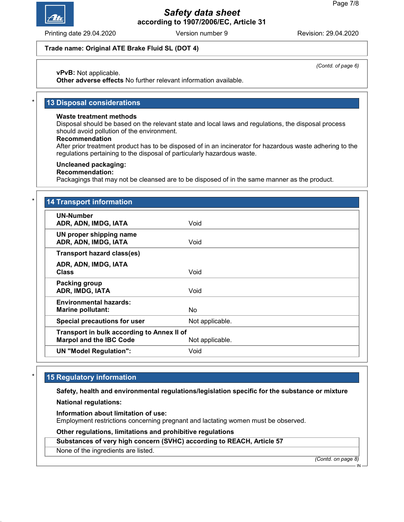

Printing date 29.04.2020 **Revision: 29.04.2020** Version number 9 Revision: 29.04.2020

(Contd. of page 6)

#### Trade name: Original ATE Brake Fluid SL (DOT 4)

vPvB: Not applicable.

Other adverse effects No further relevant information available.

# 13 Disposal considerations

#### Waste treatment methods

Disposal should be based on the relevant state and local laws and regulations, the disposal process should avoid pollution of the environment.

#### Recommendation

After prior treatment product has to be disposed of in an incinerator for hazardous waste adhering to the regulations pertaining to the disposal of particularly hazardous waste.

#### Uncleaned packaging:

#### Recommendation:

Packagings that may not be cleansed are to be disposed of in the same manner as the product.

| <b>UN-Number</b>                           |                 |
|--------------------------------------------|-----------------|
| ADR, ADN, IMDG, IATA                       | Void            |
| UN proper shipping name                    |                 |
| ADR, ADN, IMDG, IATA                       | Void            |
| <b>Transport hazard class(es)</b>          |                 |
| ADR, ADN, IMDG, IATA                       |                 |
| <b>Class</b>                               | Void            |
| Packing group                              |                 |
| ADR, IMDG, IATA                            | Void            |
| <b>Environmental hazards:</b>              |                 |
| <b>Marine pollutant:</b>                   | No.             |
| Special precautions for user               | Not applicable. |
| Transport in bulk according to Annex II of |                 |
| <b>Marpol and the IBC Code</b>             | Not applicable. |
| <b>UN "Model Regulation":</b>              | Void            |

# 15 Regulatory information

Safety, health and environmental regulations/legislation specific for the substance or mixture

National regulations:

Information about limitation of use:

Employment restrictions concerning pregnant and lactating women must be observed.

#### Other regulations, limitations and prohibitive regulations

Substances of very high concern (SVHC) according to REACH, Article 57

None of the ingredients are listed.

(Contd. on page 8)

IN